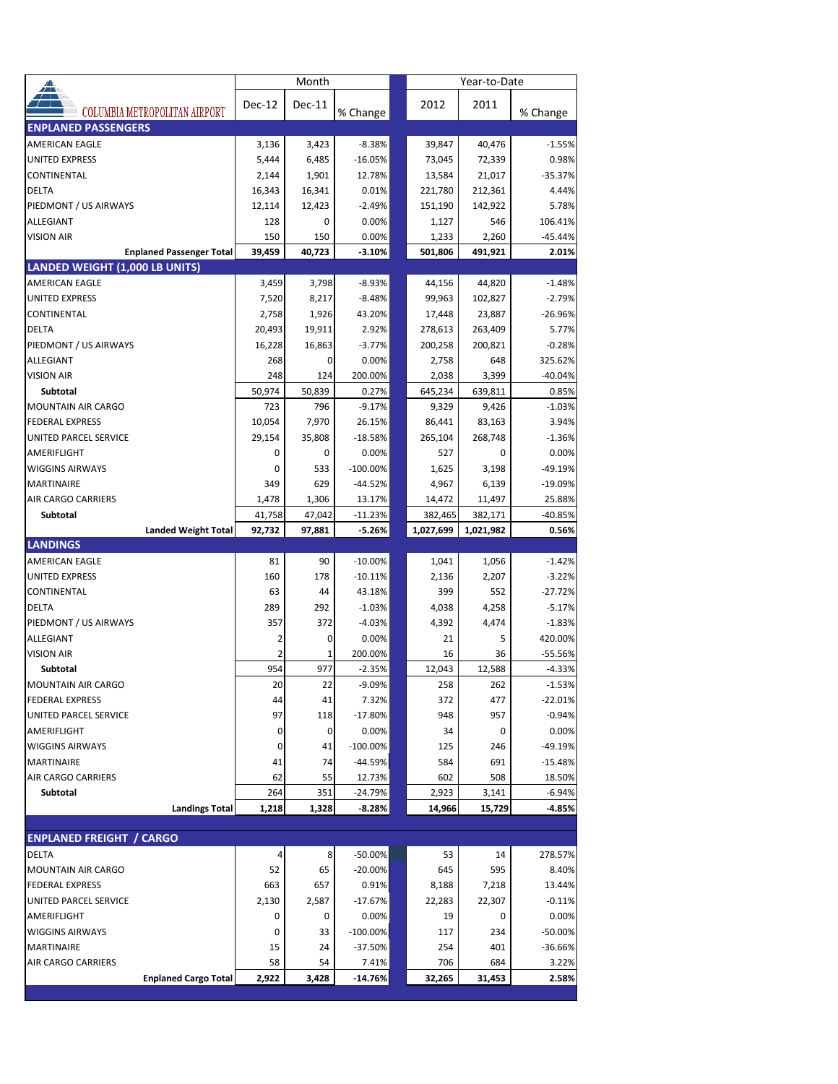|                                                                   |           | Month         |                      |               | Year-to-Date  |                      |
|-------------------------------------------------------------------|-----------|---------------|----------------------|---------------|---------------|----------------------|
|                                                                   | Dec-12    | <b>Dec-11</b> |                      | 2012          | 2011          |                      |
| COLUMBIA METROPOLITAN AIRPORT                                     |           |               | % Change             |               |               | % Change             |
| <b>ENPLANED PASSENGERS</b>                                        |           |               |                      |               |               |                      |
| AMERICAN EAGLE                                                    | 3,136     | 3,423         | $-8.38%$             | 39,847        | 40,476        | $-1.55%$             |
| <b>UNITED EXPRESS</b>                                             | 5,444     | 6,485         | $-16.05%$            | 73,045        | 72,339        | 0.98%                |
| CONTINENTAL                                                       | 2,144     | 1,901         | 12.78%               | 13,584        | 21,017        | $-35.37%$            |
| <b>DELTA</b>                                                      | 16,343    | 16,341        | 0.01%                | 221,780       | 212,361       | 4.44%                |
| PIEDMONT / US AIRWAYS                                             | 12,114    | 12,423        | $-2.49%$             | 151,190       | 142,922       | 5.78%                |
| ALLEGIANT                                                         | 128       | 0             | 0.00%                | 1,127         | 546           | 106.41%              |
| <b>VISION AIR</b>                                                 | 150       | 150           | 0.00%                | 1,233         | 2,260         | $-45.44%$            |
| <b>Enplaned Passenger Total</b><br>LANDED WEIGHT (1,000 LB UNITS) | 39,459    | 40,723        | $-3.10%$             | 501,806       | 491,921       | 2.01%                |
| <b>AMERICAN EAGLE</b>                                             | 3,459     | 3,798         | $-8.93%$             | 44,156        | 44,820        | $-1.48%$             |
| <b>UNITED EXPRESS</b>                                             | 7,520     | 8,217         | $-8.48%$             | 99,963        | 102,827       | $-2.79%$             |
| CONTINENTAL                                                       | 2,758     | 1,926         | 43.20%               | 17,448        | 23,887        | $-26.96%$            |
| <b>DELTA</b>                                                      | 20,493    | 19,911        | 2.92%                | 278,613       | 263,409       | 5.77%                |
| PIEDMONT / US AIRWAYS                                             | 16,228    | 16,863        | $-3.77%$             | 200,258       | 200,821       | $-0.28%$             |
| ALLEGIANT                                                         | 268       | 0             | 0.00%                | 2,758         | 648           | 325.62%              |
| <b>VISION AIR</b>                                                 | 248       | 124           | 200.00%              | 2,038         | 3,399         | $-40.04%$            |
| Subtotal                                                          | 50,974    | 50,839        | 0.27%                | 645,234       | 639,811       | 0.85%                |
| <b>MOUNTAIN AIR CARGO</b>                                         | 723       | 796           | $-9.17%$             | 9,329         | 9,426         | $-1.03%$             |
| <b>FEDERAL EXPRESS</b>                                            | 10,054    | 7,970         | 26.15%               | 86,441        | 83,163        | 3.94%                |
| UNITED PARCEL SERVICE                                             | 29,154    | 35,808        | $-18.58%$            | 265,104       | 268,748       | $-1.36%$             |
| AMERIFLIGHT                                                       | 0         | 0             | 0.00%                | 527           | 0             | 0.00%                |
| <b>WIGGINS AIRWAYS</b>                                            | 0         | 533           | $-100.00\%$          | 1,625         | 3,198         | -49.19%              |
| <b>MARTINAIRE</b>                                                 | 349       | 629           | $-44.52%$            | 4,967         | 6,139         | $-19.09%$            |
| AIR CARGO CARRIERS                                                | 1,478     | 1,306         | 13.17%               | 14,472        | 11,497        | 25.88%               |
| Subtotal                                                          | 41,758    | 47,042        | $-11.23%$            | 382,465       | 382,171       | -40.85%              |
| <b>Landed Weight Total</b>                                        | 92,732    | 97,881        | $-5.26%$             | 1,027,699     | 1,021,982     | 0.56%                |
| <b>LANDINGS</b>                                                   |           |               |                      |               |               |                      |
| <b>AMERICAN EAGLE</b>                                             | 81        | 90            | $-10.00%$            | 1,041         | 1,056         | $-1.42%$             |
| <b>UNITED EXPRESS</b>                                             | 160       | 178           | $-10.11%$            | 2,136         | 2,207         | $-3.22%$             |
| CONTINENTAL                                                       | 63        | 44            | 43.18%               | 399           | 552           | $-27.72%$            |
| <b>DELTA</b>                                                      | 289       | 292           | $-1.03%$             | 4,038         | 4,258         | $-5.17%$             |
| PIEDMONT / US AIRWAYS                                             | 357       | 372           | $-4.03%$             | 4,392         | 4,474         | $-1.83%$             |
| ALLEGIANT                                                         | 2         | 0             | 0.00%                | 21            | 5             | 420.00%              |
| <b>VISION AIR</b>                                                 | 2         | 1             | 200.00%              | 16            | 36            | $-55.56%$            |
| Subtotal<br><b>MOUNTAIN AIR CARGO</b>                             | 954<br>20 | 977<br>22     | $-2.35%$<br>$-9.09%$ | 12,043<br>258 | 12,588<br>262 | $-4.33%$<br>$-1.53%$ |
|                                                                   | 44        |               |                      | 372           | 477           |                      |
| <b>FEDERAL EXPRESS</b><br>UNITED PARCEL SERVICE                   | 97        | 41<br>118     | 7.32%<br>$-17.80%$   | 948           | 957           | -22.01%<br>$-0.94%$  |
| AMERIFLIGHT                                                       | 0         | 0             | 0.00%                | 34            | 0             | 0.00%                |
| <b>WIGGINS AIRWAYS</b>                                            | 0         | 41            | $-100.00\%$          | 125           | 246           | -49.19%              |
| <b>MARTINAIRE</b>                                                 | 41        | 74            | -44.59%              | 584           | 691           | $-15.48%$            |
| AIR CARGO CARRIERS                                                | 62        | 55            | 12.73%               | 602           | 508           | 18.50%               |
| Subtotal                                                          | 264       | 351           | -24.79%              | 2,923         | 3,141         | $-6.94%$             |
| <b>Landings Total</b>                                             | 1,218     | 1,328         | $-8.28%$             | 14,966        | 15,729        | $-4.85%$             |
|                                                                   |           |               |                      |               |               |                      |
| <b>ENPLANED FREIGHT / CARGO</b>                                   |           |               |                      |               |               |                      |
| DELTA                                                             | 4         | 8             | -50.00%              | 53            | 14            | 278.57%              |
| MOUNTAIN AIR CARGO                                                | 52        | 65            | -20.00%              | 645           | 595           | 8.40%                |
| <b>FEDERAL EXPRESS</b>                                            | 663       | 657           | 0.91%                | 8,188         | 7,218         | 13.44%               |
| UNITED PARCEL SERVICE                                             | 2,130     | 2,587         | -17.67%              | 22,283        | 22,307        | $-0.11%$             |
| AMERIFLIGHT                                                       | 0         | 0             | 0.00%                | 19            | 0             | 0.00%                |
| <b>WIGGINS AIRWAYS</b>                                            | 0         | 33            | -100.00%             | 117           | 234           | -50.00%              |
| MARTINAIRE                                                        | 15        | 24            | -37.50%              | 254           | 401           | $-36.66%$            |
| AIR CARGO CARRIERS                                                | 58        | 54            | 7.41%                | 706           | 684           | 3.22%                |
| <b>Enplaned Cargo Total</b>                                       | 2,922     | 3,428         | -14.76%              | 32,265        | 31,453        | 2.58%                |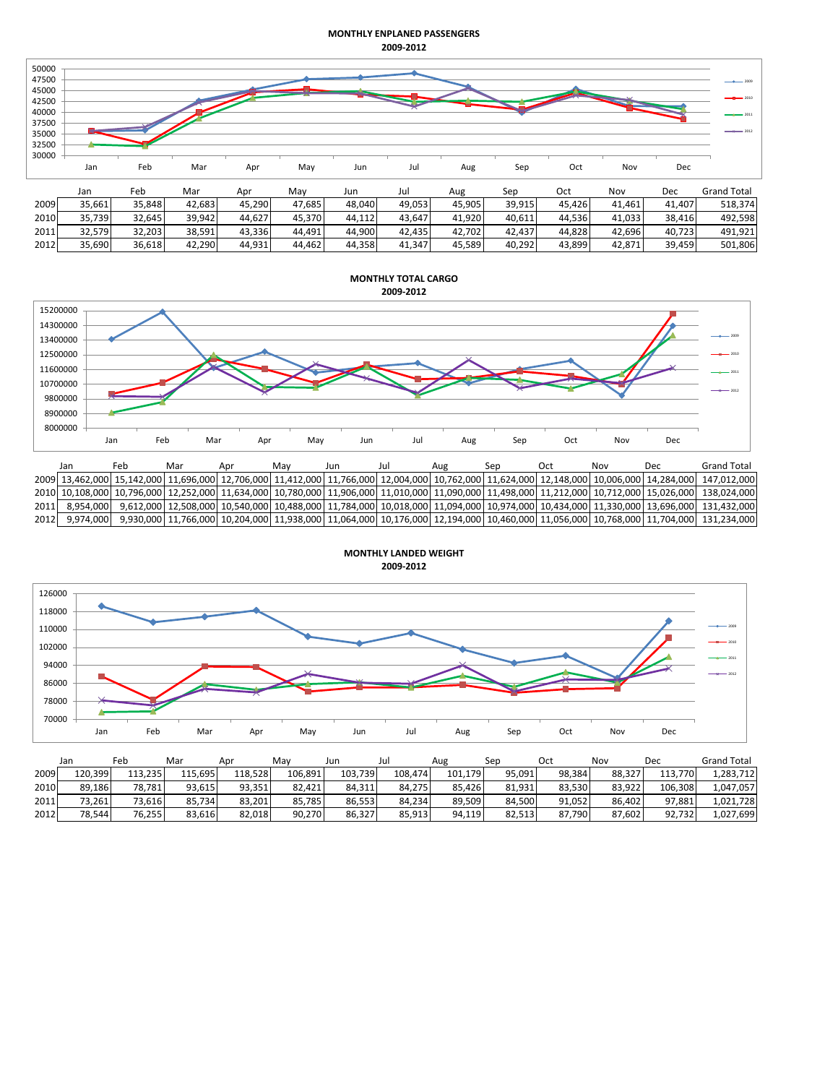## **MONTHLY ENPLANED PASSENGERS 2009-2012**

| 50000<br>47500<br>45000<br>42500<br>40000<br>37500<br>35000<br>32500<br>30000 | Jan    | Feb    | Mar    | Apr    | May    | Jun    | Jul    | Aug    | Sep    | Oct    | Nov    | Dec    | $-2011$<br>$-4 - 2012$ |
|-------------------------------------------------------------------------------|--------|--------|--------|--------|--------|--------|--------|--------|--------|--------|--------|--------|------------------------|
|                                                                               | Jan    | Feb    | Mar    | Apr    | May    | Jun    | Jul    | Aug    | Sep    | Oct    | Nov    | Dec    | <b>Grand Total</b>     |
| 2009                                                                          | 35,661 | 35,848 | 42,683 | 45,290 | 47,685 | 48,040 | 49,053 | 45,905 | 39,915 | 45,426 | 41,461 | 41,407 | 518,374                |
| 2010                                                                          | 35,739 | 32,645 | 39,942 | 44,627 | 45,370 | 44,112 | 43,647 | 41,920 | 40,611 | 44,536 | 41,033 | 38,416 | 492,598                |
| 2011                                                                          | 32,579 | 32,203 | 38,591 | 43,336 | 44,491 | 44,900 | 42,435 | 42,702 | 42,437 | 44,828 | 42,696 | 40,723 | 491,921                |
| 2012                                                                          | 35,690 | 36,618 | 42,290 | 44,931 | 44,462 | 44,358 | 41,347 | 45,589 | 40,292 | 43,899 | 42,871 | 39,459 | 501,806                |



|      | Jan       | Fer | Mar | Мау | Jur |  | ser | Nov | Dec                                                                                                                                      | Grand Total                                                                                                                         |
|------|-----------|-----|-----|-----|-----|--|-----|-----|------------------------------------------------------------------------------------------------------------------------------------------|-------------------------------------------------------------------------------------------------------------------------------------|
|      |           |     |     |     |     |  |     |     | 2009 13,462,000 10,006,000 14,284,000 11,706,000 12,412,000 11,766,000 12,004,000 10,762,000 11,624,000 12,148,000 10,006,000 14,284,000 | 147.012.000                                                                                                                         |
|      |           |     |     |     |     |  |     |     | 2010 10,108,000 10,796,000 12,252,000 11,634,000 10,780,000 11,906,000 11,010,000 11,090,000 11,498,000 11,212,000 10,712,000 15,026,000 | 138.024.000                                                                                                                         |
| 2011 | 8.954.000 |     |     |     |     |  |     |     |                                                                                                                                          | 9,612,000 12,508,000 10,540,000 10,488,000 11,784,000 10,018,000 11,094,000 10,974,000 10,434,000 11,330,000 13,696,000 131,432,000 |
| 2012 | 9.974.000 |     |     |     |     |  |     |     |                                                                                                                                          | 9,930,000 11,766,000 10,204,000 11,938,000 11,064,000 10,176,000 12,194,000 10,460,000 11,056,000 10,768,000 11,704,000 131,234,000 |



|      | Jan     | Feb     | Mar        | Apr     | Mav     | Jun     | Jul     | Aug     | Sen    | Oct    | Nov    | Dec         | <b>Grand Total</b> |
|------|---------|---------|------------|---------|---------|---------|---------|---------|--------|--------|--------|-------------|--------------------|
| 2009 | 120,399 | 113.235 | 115,695    | 118.528 | 106.891 | 103.739 | 108,474 | 101.179 | 95,091 | 98,384 | 88.327 | 113<br>.770 | 1,283,712          |
| 2010 | 89.186  | 78.781  | 93.615     | 93.351  | 82.421  | 84.311  | 84.275  | 85.426  | 81.931 | 83.530 | 83.922 | 106.308     | 1,047,057          |
| 2011 | 73.261  | 73.616  | 734<br>85. | 83.201  | 85.785  | 86.553  | 84.234  | 89.509  | 84.500 | 91.052 | 86.402 | 97.881      | 1,021,728          |
| 2012 | 78,544  | 76,255  | 83.616     | 82.018  | 90.270  | 86.327  | 85.913  | 94,119  | 82.513 | 87.790 | 87.602 | 92.732      | 1,027,699          |

**MONTHLY LANDED WEIGHT**